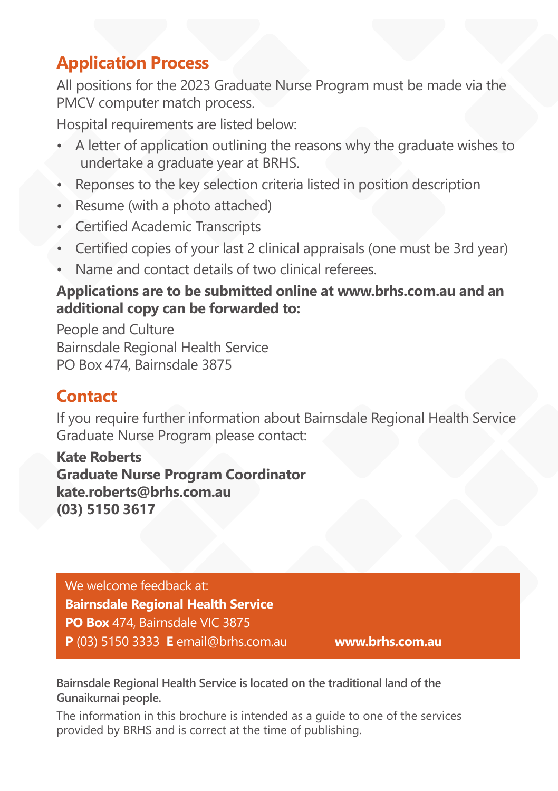#### **Application Process**

All positions for the 2023 Graduate Nurse Program must be made via the PMCV computer match process.

Hospital requirements are listed below:

- A letter of application outlining the reasons why the graduate wishes to undertake a graduate year at BRHS.
- Reponses to the key selection criteria listed in position description
- Resume (with a photo attached)
- Certified Academic Transcripts
- Certified copies of your last 2 clinical appraisals (one must be 3rd year)
- Name and contact details of two clinical referees.

#### **Applications are to be submitted online at www.brhs.com.au and an additional copy can be forwarded to:**

People and Culture Bairnsdale Regional Health Service PO Box 474, Bairnsdale 3875

# **Contact**

If you require further information about Bairnsdale Regional Health Service Graduate Nurse Program please contact:

**Kate Roberts Graduate Nurse Program Coordinator kate.roberts@brhs.com.au (03) 5150 3617**

We welcome feedback at: **Bairnsdale Regional Health Service PO Box** 474, Bairnsdale VIC 3875 **P** (03) 5150 3333 **E** email@brhs.com.au **www.brhs.com.au**

**Bairnsdale Regional Health Service is located on the traditional land of the Gunaikurnai people.**

The information in this brochure is intended as a guide to one of the services provided by BRHS and is correct at the time of publishing.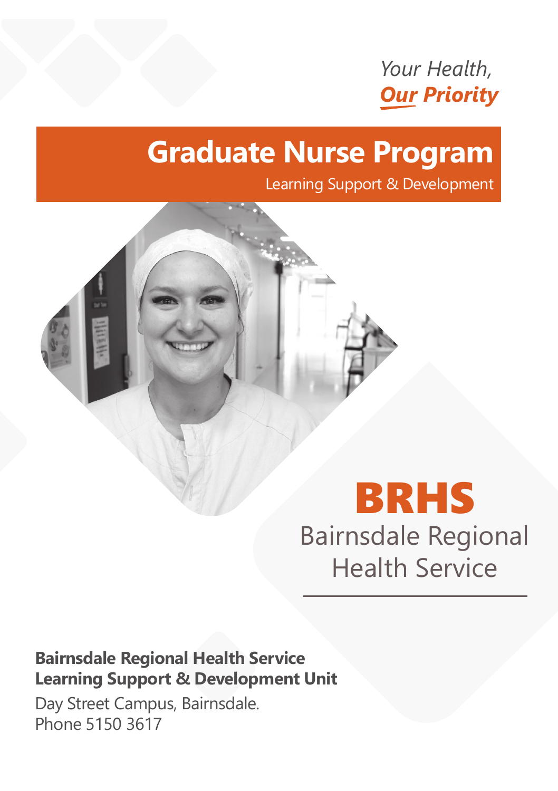# *Your Health, Our Priority*

# **Graduate Nurse Program**

Learning Support & Development



# BRHS Bairnsdale Regional Health Service

#### **Bairnsdale Regional Health Service Learning Support & Development Unit**

Day Street Campus, Bairnsdale. Phone 5150 3617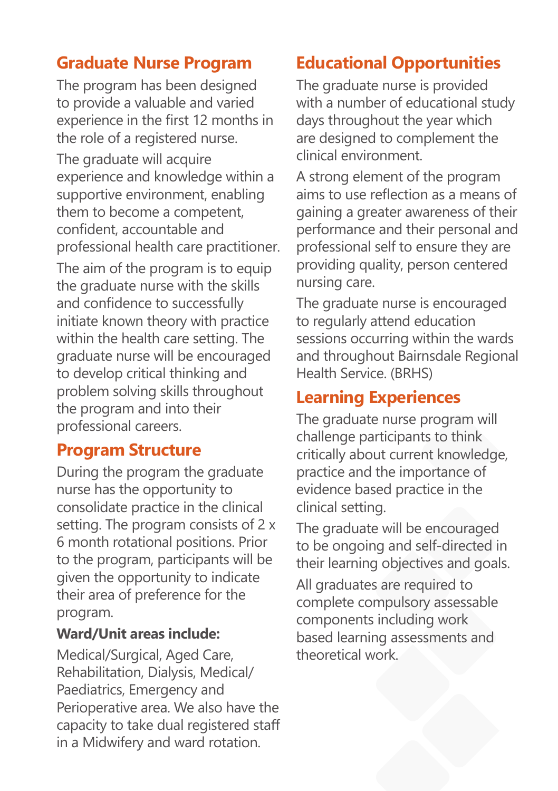#### **Graduate Nurse Program**

The program has been designed to provide a valuable and varied experience in the first 12 months in the role of a registered nurse.

The graduate will acquire experience and knowledge within a supportive environment, enabling them to become a competent, confident, accountable and professional health care practitioner. The aim of the program is to equip the graduate nurse with the skills and confidence to successfully initiate known theory with practice within the health care setting. The graduate nurse will be encouraged to develop critical thinking and problem solving skills throughout the program and into their professional careers.

#### **Program Structure**

During the program the graduate nurse has the opportunity to consolidate practice in the clinical setting. The program consists of 2 x 6 month rotational positions. Prior to the program, participants will be given the opportunity to indicate their area of preference for the program.

#### **Ward/Unit areas include:**

Medical/Surgical, Aged Care, Rehabilitation, Dialysis, Medical/ Paediatrics, Emergency and Perioperative area. We also have the capacity to take dual registered staff in a Midwifery and ward rotation.

## **Educational Opportunities**

The graduate nurse is provided with a number of educational study days throughout the year which are designed to complement the clinical environment.

A strong element of the program aims to use reflection as a means of gaining a greater awareness of their performance and their personal and professional self to ensure they are providing quality, person centered nursing care.

The graduate nurse is encouraged to regularly attend education sessions occurring within the wards and throughout Bairnsdale Regional Health Service. (BRHS)

## **Learning Experiences**

The graduate nurse program will challenge participants to think critically about current knowledge, practice and the importance of evidence based practice in the clinical setting.

The graduate will be encouraged to be ongoing and self-directed in their learning objectives and goals.

All graduates are required to complete compulsory assessable components including work based learning assessments and theoretical work.